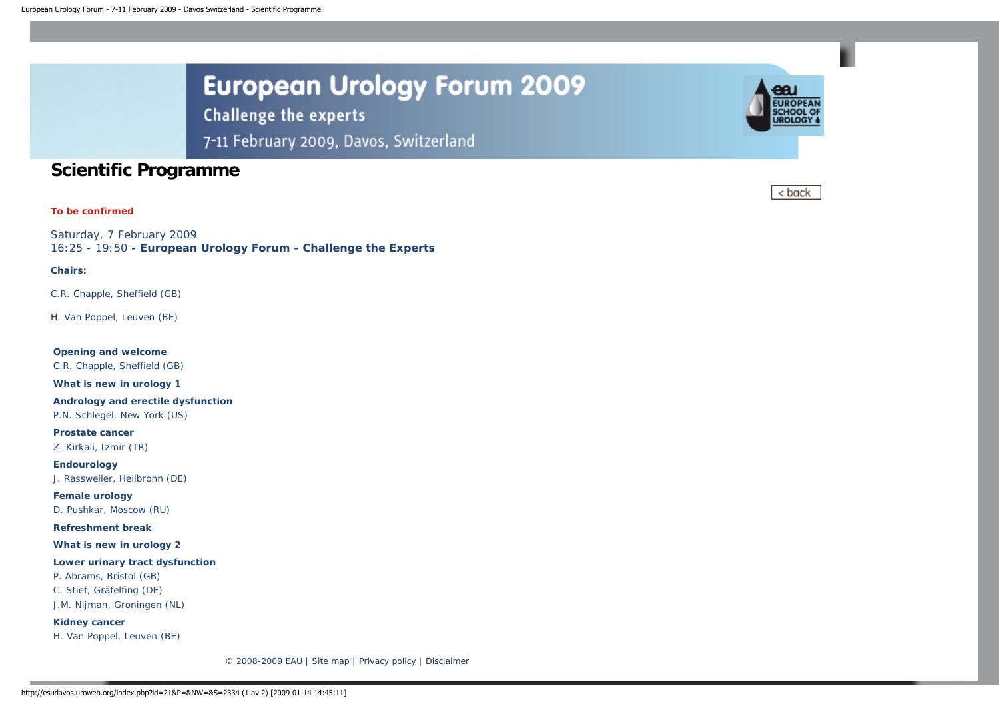**Challenge the experts** 

7-11 February 2009, Davos, Switzerland

# **Scientific Programme**

# **To be confirmed**

Saturday, 7 February 2009 16:25 - 19:50 **- European Urology Forum - Challenge the Experts**

# **Chairs:**

C.R. Chapple, Sheffield (GB)

H. Van Poppel, Leuven (BE)

**Opening and welcome** C.R. Chapple, Sheffield (GB) **What is new in urology 1**

**Andrology and erectile dysfunction**

P.N. Schlegel, New York (US)

**Prostate cancer** Z. Kirkali, Izmir (TR)

**Endourology** J. Rassweiler, Heilbronn (DE)

**Female urology** D. Pushkar, Moscow (RU)

**Refreshment break**

**What is new in urology 2**

**Lower urinary tract dysfunction**

P. Abrams, Bristol (GB) C. Stief, Gräfelfing (DE)

J.M. Nijman, Groningen (NL)

**Kidney cancer** H. Van Poppel, Leuven (BE)

© 2008-2009 EAU | [Site map](http://esudavos.uroweb.org/footer-menu/site-map/) | [Privacy policy](http://esudavos.uroweb.org/footer-menu/privacy-policy/) | [Disclaimer](http://esudavos.uroweb.org/footer-menu/disclaimer/)



< back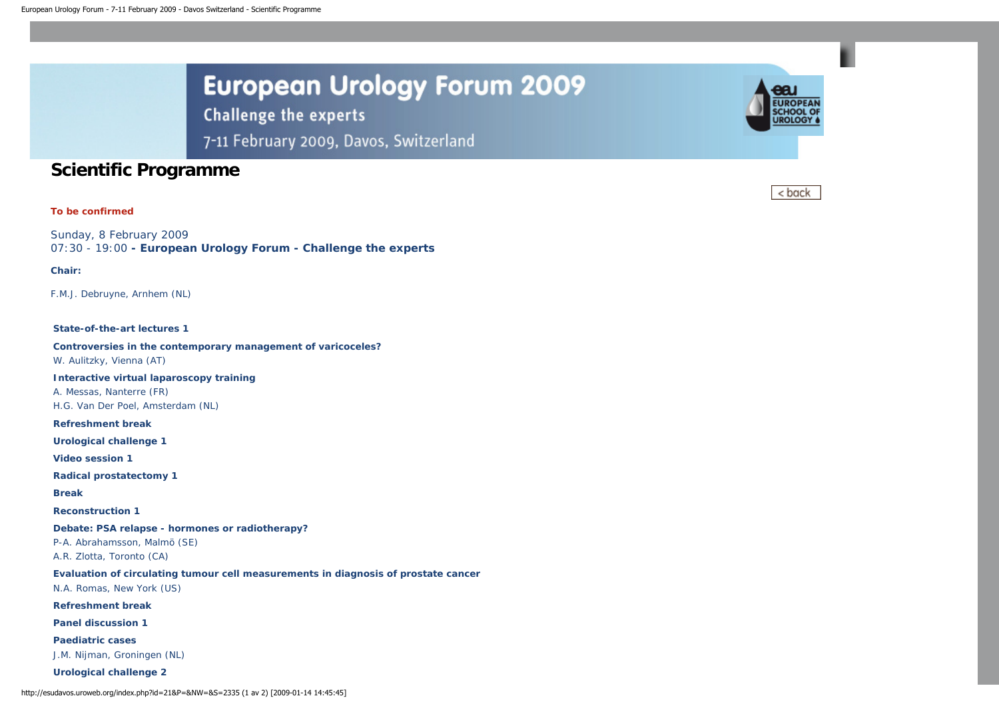**Challenge the experts** 

7-11 February 2009, Davos, Switzerland

# **Scientific Programme**

# **To be confirmed**

Sunday, 8 February 2009 07:30 - 19:00 **- European Urology Forum - Challenge the experts**

### **Chair:**

F.M.J. Debruyne, Arnhem (NL)

#### **State-of-the-art lectures 1**

**Controversies in the contemporary management of varicoceles?** W. Aulitzky, Vienna (AT)

**Interactive virtual laparoscopy training** A. Messas, Nanterre (FR) H.G. Van Der Poel, Amsterdam (NL)

**Refreshment break**

**Urological challenge 1**

**Video session 1**

**Radical prostatectomy 1**

**Break**

**Reconstruction 1**

**Debate: PSA relapse - hormones or radiotherapy?**

P-A. Abrahamsson, Malmö (SE) A.R. Zlotta, Toronto (CA)

**Evaluation of circulating tumour cell measurements in diagnosis of prostate cancer** N.A. Romas, New York (US)

**Refreshment break**

**Panel discussion 1**

**Paediatric cases** J.M. Nijman, Groningen (NL)

**Urological challenge 2**



< back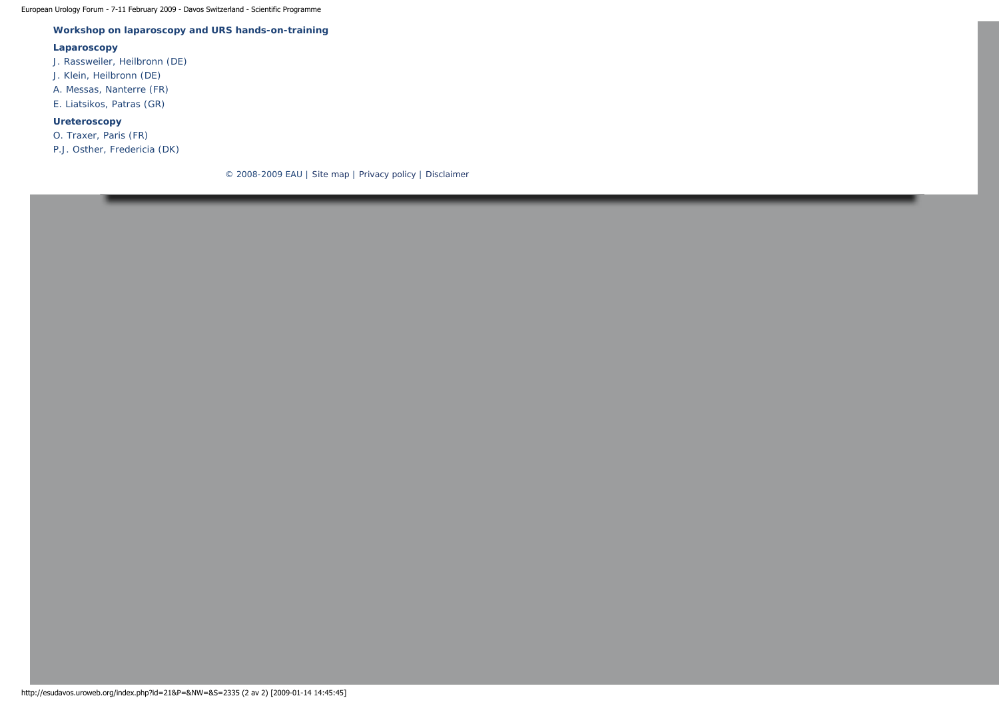European Urology Forum - 7-11 February 2009 - Davos Switzerland - Scientific Programme

# **Workshop on laparoscopy and URS hands-on-training**

#### **Laparoscopy**

- J. Rassweiler, Heilbronn (DE)
- J. Klein, Heilbronn (DE)
- A. Messas, Nanterre (FR)
- E. Liatsikos, Patras (GR)

# **Ureteroscopy**

- O. Traxer, Paris (FR)
- P.J. Osther, Fredericia (DK)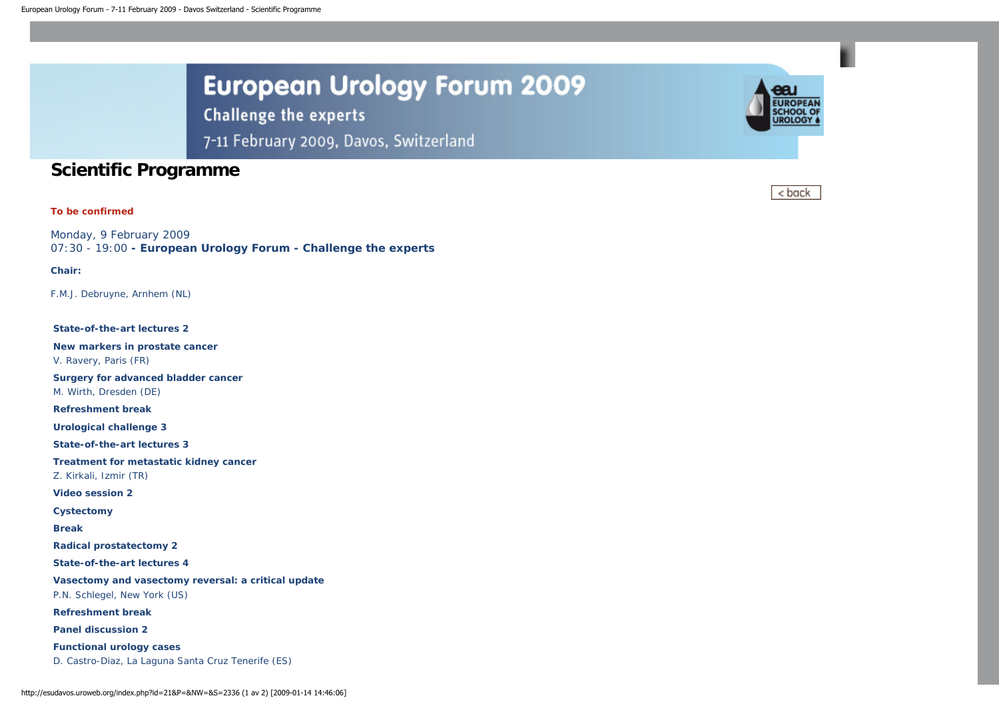**Challenge the experts** 

7-11 February 2009, Davos, Switzerland

# **Scientific Programme**

# **To be confirmed**

Monday, 9 February 2009 07:30 - 19:00 **- European Urology Forum - Challenge the experts**

### **Chair:**

F.M.J. Debruyne, Arnhem (NL)

### **State-of-the-art lectures 2**

**New markers in prostate cancer** V. Ravery, Paris (FR)

**Surgery for advanced bladder cancer** M. Wirth, Dresden (DE)

**Refreshment break**

**Urological challenge 3**

**State-of-the-art lectures 3**

**Treatment for metastatic kidney cancer**

Z. Kirkali, Izmir (TR)

**Video session 2**

**Cystectomy**

**Break**

**Radical prostatectomy 2**

**State-of-the-art lectures 4**

**Vasectomy and vasectomy reversal: a critical update** P.N. Schlegel, New York (US)

**Refreshment break**

**Panel discussion 2**

**Functional urology cases** D. Castro-Diaz, La Laguna Santa Cruz Tenerife (ES)



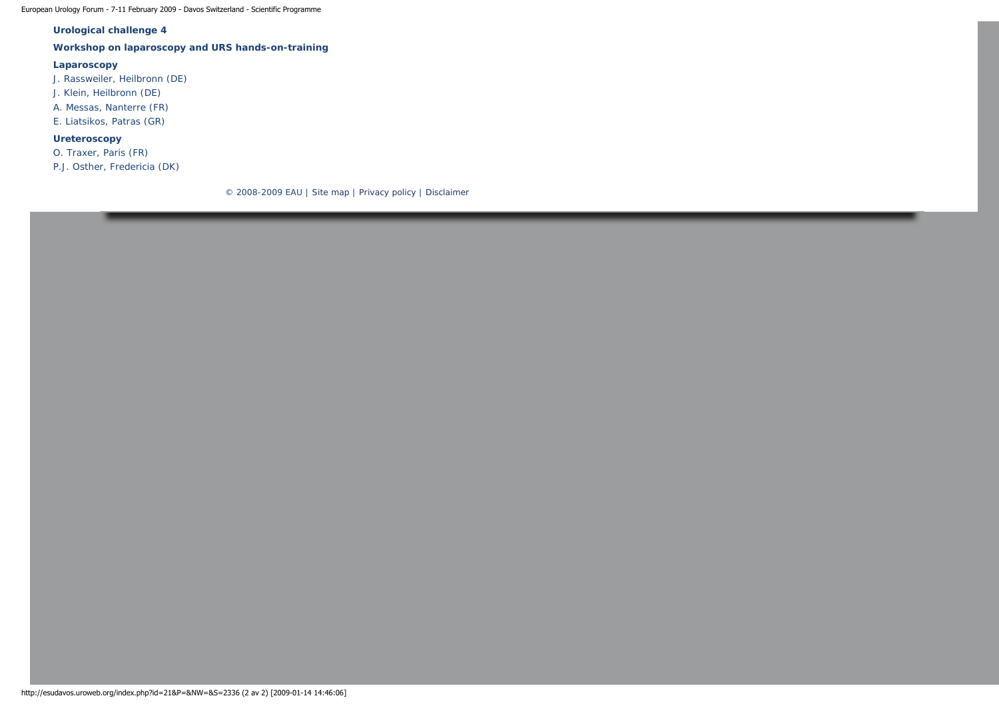European Urology Forum - 7-11 February 2009 - Davos Switzerland - Scientific Programme

# **Urological challenge 4**

# **Workshop on laparoscopy and URS hands-on-training**

## **Laparoscopy**

J. Rassweiler, Heilbronn (DE)

- J. Klein, Heilbronn (DE)
- A. Messas, Nanterre (FR)
- E. Liatsikos, Patras (GR)

## **Ureteroscopy**

O. Traxer, Paris (FR)

P.J. Osther, Fredericia (DK)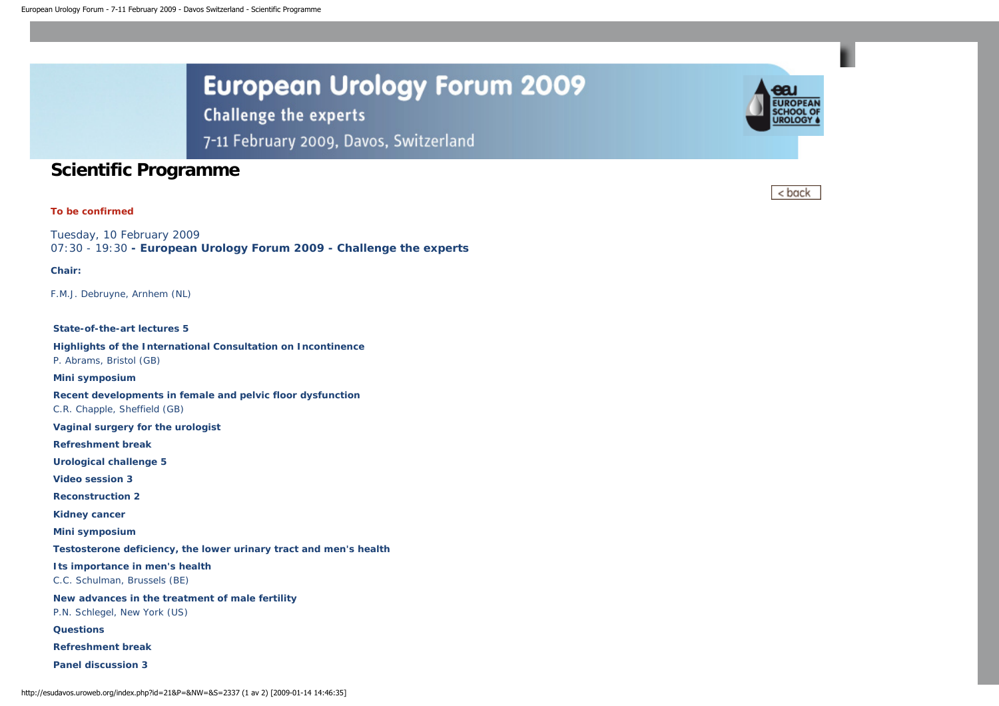**Challenge the experts** 

7-11 February 2009, Davos, Switzerland

# **Scientific Programme**

# **To be confirmed**

Tuesday, 10 February 2009 07:30 - 19:30 **- European Urology Forum 2009 - Challenge the experts**

### **Chair:**

F.M.J. Debruyne, Arnhem (NL)

#### **State-of-the-art lectures 5**

**Highlights of the International Consultation on Incontinence** P. Abrams, Bristol (GB)

**Mini symposium**

**Recent developments in female and pelvic floor dysfunction** C.R. Chapple, Sheffield (GB)

**Vaginal surgery for the urologist**

**Refreshment break**

**Urological challenge 5**

**Video session 3**

**Reconstruction 2**

**Kidney cancer**

**Mini symposium**

**Testosterone deficiency, the lower urinary tract and men's health**

**Its importance in men's health**

C.C. Schulman, Brussels (BE)

**New advances in the treatment of male fertility**

P.N. Schlegel, New York (US)

**Questions**

**Refreshment break**

**Panel discussion 3**



< back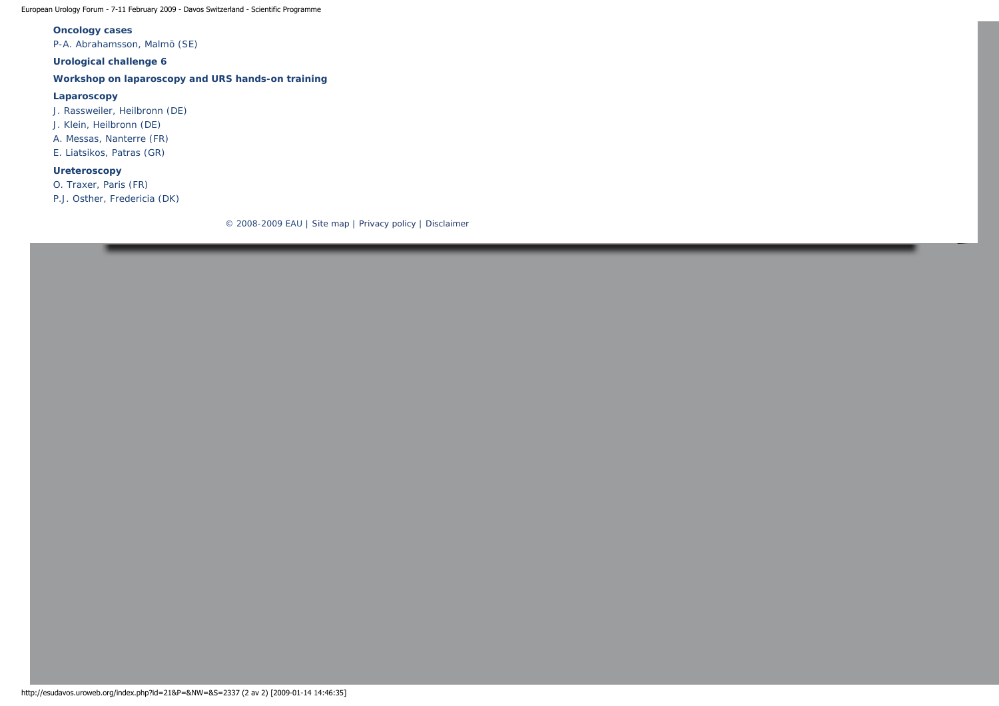European Urology Forum - 7-11 February 2009 - Davos Switzerland - Scientific Programme

## **Oncology cases**

P-A. Abrahamsson, Malmö (SE)

**Urological challenge 6**

**Workshop on laparoscopy and URS hands-on training**

### **Laparoscopy**

J. Rassweiler, Heilbronn (DE)

J. Klein, Heilbronn (DE)

A. Messas, Nanterre (FR)

E. Liatsikos, Patras (GR)

# **Ureteroscopy**

O. Traxer, Paris (FR)

P.J. Osther, Fredericia (DK)